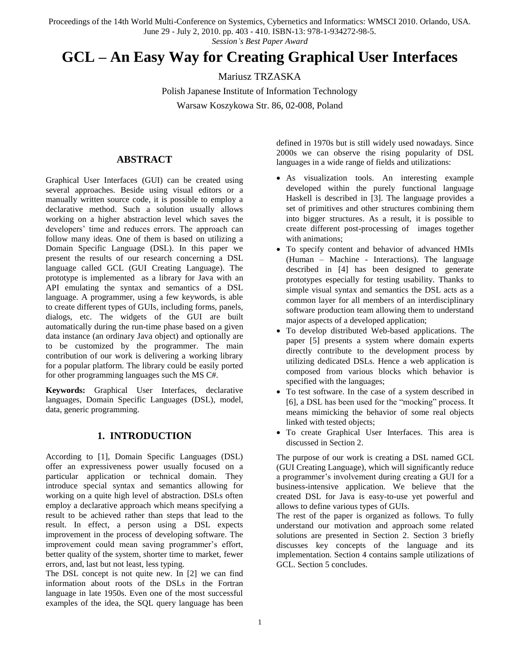Proceedings of the 14th World Multi-Conference on Systemics, Cybernetics and Informatics: WMSCI 2010. Orlando, USA.

June 29 - July 2, 2010. pp. 403 - 410. ISBN-13: 978-1-934272-98-5.

### *Session's Best Paper Award*

# **GCL – An Easy Way for Creating Graphical User Interfaces**

Mariusz TRZASKA

Polish Japanese Institute of Information Technology Warsaw Koszykowa Str. 86, 02-008, Poland

**ABSTRACT**

Graphical User Interfaces (GUI) can be created using several approaches. Beside using visual editors or a manually written source code, it is possible to employ a declarative method. Such a solution usually allows working on a higher abstraction level which saves the developers' time and reduces errors. The approach can follow many ideas. One of them is based on utilizing a Domain Specific Language (DSL). In this paper we present the results of our research concerning a DSL language called GCL (GUI Creating Language). The prototype is implemented as a library for Java with an API emulating the syntax and semantics of a DSL language. A programmer, using a few keywords, is able to create different types of GUIs, including forms, panels, dialogs, etc. The widgets of the GUI are built automatically during the run-time phase based on a given data instance (an ordinary Java object) and optionally are to be customized by the programmer. The main contribution of our work is delivering a working library for a popular platform. The library could be easily ported for other programming languages such the MS C#.

**Keywords:** Graphical User Interfaces, declarative languages, Domain Specific Languages (DSL), model, data, generic programming.

## **1. INTRODUCTION**

According to [\[1\],](#page-7-0) Domain Specific Languages (DSL) offer an expressiveness power usually focused on a particular application or technical domain. They introduce special syntax and semantics allowing for working on a quite high level of abstraction. DSLs often employ a declarative approach which means specifying a result to be achieved rather than steps that lead to the result. In effect, a person using a DSL expects improvement in the process of developing software. The improvement could mean saving programmer's effort, better quality of the system, shorter time to market, fewer errors, and, last but not least, less typing.

The DSL concept is not quite new. In [\[2\]](#page-7-1) we can find information about roots of the DSLs in the Fortran language in late 1950s. Even one of the most successful examples of the idea, the SQL query language has been

defined in 1970s but is still widely used nowadays. Since 2000s we can observe the rising popularity of DSL languages in a wide range of fields and utilizations:

- As visualization tools. An interesting example developed within the purely functional language Haskell is described in [\[3\].](#page-7-2) The language provides a set of primitives and other structures combining them into bigger structures. As a result, it is possible to create different post-processing of images together with animations;
- To specify content and behavior of advanced HMIs (Human – Machine - Interactions). The language described in [\[4\]](#page-7-3) has been designed to generate prototypes especially for testing usability. Thanks to simple visual syntax and semantics the DSL acts as a common layer for all members of an interdisciplinary software production team allowing them to understand major aspects of a developed application;
- To develop distributed Web-based applications. The paper [\[5\]](#page-7-4) presents a system where domain experts directly contribute to the development process by utilizing dedicated DSLs. Hence a web application is composed from various blocks which behavior is specified with the languages;
- To test software. In the case of a system described in [\[6\],](#page-7-5) a DSL has been used for the "mocking" process. It means mimicking the behavior of some real objects linked with tested objects;
- To create Graphical User Interfaces. This area is discussed in Section 2.

The purpose of our work is creating a DSL named GCL (GUI Creating Language), which will significantly reduce a programmer's involvement during creating a GUI for a business-intensive application. We believe that the created DSL for Java is easy-to-use yet powerful and allows to define various types of GUIs.

The rest of the paper is organized as follows. To fully understand our motivation and approach some related solutions are presented in Section 2. Section 3 briefly discusses key concepts of the language and its implementation. Section 4 contains sample utilizations of GCL. Section 5 concludes.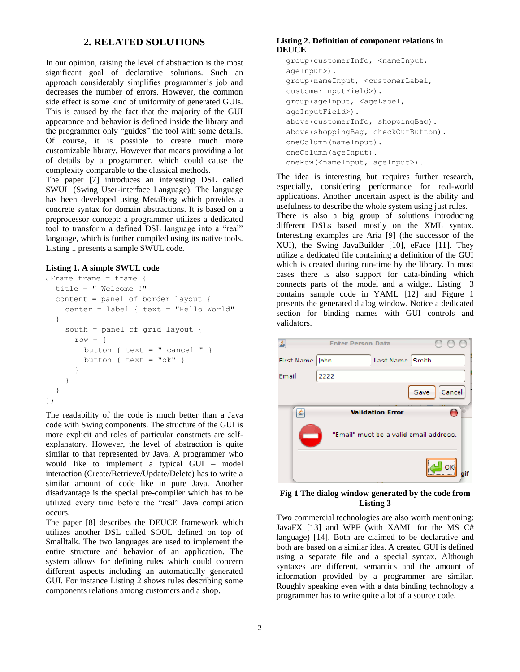## **2. RELATED SOLUTIONS**

In our opinion, raising the level of abstraction is the most significant goal of declarative solutions. Such an approach considerably simplifies programmer's job and decreases the number of errors. However, the common side effect is some kind of uniformity of generated GUIs. This is caused by the fact that the majority of the GUI appearance and behavior is defined inside the library and the programmer only "guides" the tool with some details. Of course, it is possible to create much more customizable library. However that means providing a lot of details by a programmer, which could cause the complexity comparable to the classical methods.

The paper [\[7\]](#page-7-6) introduces an interesting DSL called SWUL (Swing User-interface Language). The language has been developed using MetaBorg which provides a concrete syntax for domain abstractions. It is based on a preprocessor concept: a programmer utilizes a dedicated tool to transform a defined DSL language into a "real" language, which is further compiled using its native tools. Listing 1 presents a sample SWUL code.

#### **Listing 1. A simple SWUL code**

```
JFrame frame = frame \{title = " Welcome !"
  content = panel of border layout {
    center = label { text = "Hello World" 
  }
    south = panel of grid layout {
      row = {
        button { text = " cancel " }
        button { text = "ok" }}
      }
    }
  }
};
```
The readability of the code is much better than a Java code with Swing components. The structure of the GUI is more explicit and roles of particular constructs are selfexplanatory. However, the level of abstraction is quite similar to that represented by Java. A programmer who would like to implement a typical GUI – model interaction (Create/Retrieve/Update/Delete) has to write a similar amount of code like in pure Java. Another disadvantage is the special pre-compiler which has to be utilized every time before the "real" Java compilation occurs.

The paper [\[8\]](#page-7-7) describes the DEUCE framework which utilizes another DSL called SOUL defined on top of Smalltalk. The two languages are used to implement the entire structure and behavior of an application. The system allows for defining rules which could concern different aspects including an automatically generated GUI. For instance Listing 2 shows rules describing some components relations among customers and a shop.

#### **Listing 2. Definition of component relations in DEUCE**

```
group(customerInfo, <nameInput,
ageInput>).
group(nameInput, <customerLabel, 
customerInputField>).
group(ageInput, <ageLabel,
ageInputField>).
above(customerInfo, shoppingBag).
above(shoppingBag, checkOutButton).
oneColumn(nameInput).
oneColumn(ageInput).
oneRow(<nameInput, ageInput>).
```
The idea is interesting but requires further research, especially, considering performance for real-world applications. Another uncertain aspect is the ability and usefulness to describe the whole system using just rules. There is also a big group of solutions introducing different DSLs based mostly on the XML syntax. Interesting examples are Aria [\[9\]](#page-7-8) (the successor of the XUI), the Swing JavaBuilder [\[10\],](#page-7-9) eFace [\[11\].](#page-7-10) They utilize a dedicated file containing a definition of the GUI which is created during run-time by the library. In most cases there is also support for data-binding which connects parts of the model and a widget. Listing 3 contains sample code in YAML [\[12\]](#page-7-11) and Figure 1 presents the generated dialog window. Notice a dedicated section for binding names with GUI controls and validators.

|            | <b>Enter Person Data</b>               |
|------------|----------------------------------------|
| First Name | John<br>Last Name Smith                |
| Email      | 2222                                   |
|            | Cancel<br>Save                         |
|            | <b>Validation Error</b>                |
|            | "Email" must be a valid email address. |
|            | οĸ                                     |

#### **Fig 1 The dialog window generated by the code from Listing 3**

Two commercial technologies are also worth mentioning: JavaFX [\[13\]](#page-7-12) and WPF (with XAML for the MS C# language) [\[14\].](#page-7-13) Both are claimed to be declarative and both are based on a similar idea. A created GUI is defined using a separate file and a special syntax. Although syntaxes are different, semantics and the amount of information provided by a programmer are similar. Roughly speaking even with a data binding technology a programmer has to write quite a lot of a source code.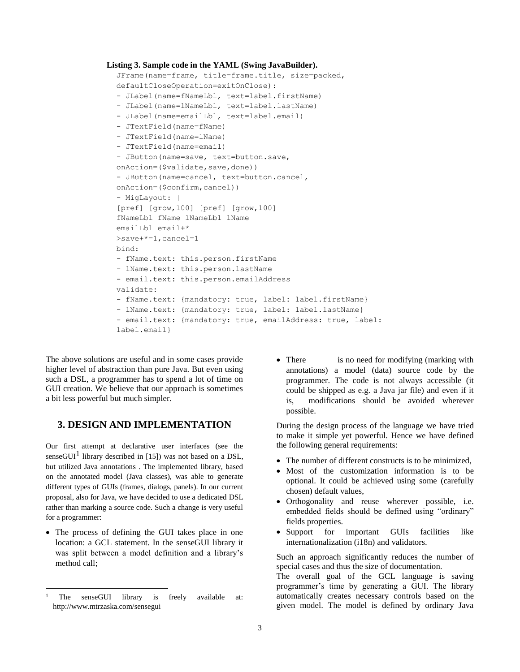```
Listing 3. Sample code in the YAML (Swing JavaBuilder).
```

```
JFrame(name=frame, title=frame.title, size=packed, 
defaultCloseOperation=exitOnClose):
- JLabel(name=fNameLbl, text=label.firstName)
- JLabel(name=lNameLbl, text=label.lastName)
- JLabel(name=emailLbl, text=label.email)
- JTextField(name=fName)
- JTextField(name=lName)
- JTextField(name=email)
- JButton(name=save, text=button.save, 
onAction=($validate, save, done))
- JButton(name=cancel, text=button.cancel, 
onAction=($confirm,cancel))
- MigLayout: |
[pref] [grow,100] [pref] [grow,100]
fNameLbl fName lNameLbl lName
emailLbl email+*
>save+*=1,cancel=1
bind:
- fName.text: this.person.firstName
- lName.text: this.person.lastName
- email.text: this.person.emailAddress
validate:
- fName.text: {mandatory: true, label: label.firstName}
- lName.text: {mandatory: true, label: label.lastName}
- email.text: {mandatory: true, emailAddress: true, label: 
label.email}
```
The above solutions are useful and in some cases provide higher level of abstraction than pure Java. But even using such a DSL, a programmer has to spend a lot of time on GUI creation. We believe that our approach is sometimes a bit less powerful but much simpler.

## **3. DESIGN AND IMPLEMENTATION**

Our first attempt at declarative user interfaces (see the senseGUI<sup>1</sup> library described in [\[15\]\)](#page-7-14) was not based on a DSL, but utilized Java annotations . The implemented library, based on the annotated model (Java classes), was able to generate different types of GUIs (frames, dialogs, panels). In our current proposal, also for Java, we have decided to use a dedicated DSL rather than marking a source code. Such a change is very useful for a programmer:

• The process of defining the GUI takes place in one location: a GCL statement. In the senseGUI library it was split between a model definition and a library"s method call;

l

• There is no need for modifying (marking with annotations) a model (data) source code by the programmer. The code is not always accessible (it could be shipped as e.g. a Java jar file) and even if it is, modifications should be avoided wherever possible.

During the design process of the language we have tried to make it simple yet powerful. Hence we have defined the following general requirements:

- The number of different constructs is to be minimized,
- Most of the customization information is to be optional. It could be achieved using some (carefully chosen) default values,
- Orthogonality and reuse wherever possible, i.e. embedded fields should be defined using "ordinary" fields properties.
- Support for important GUIs facilities like internationalization (i18n) and validators.

Such an approach significantly reduces the number of special cases and thus the size of documentation.

The overall goal of the GCL language is saving programmer"s time by generating a GUI. The library automatically creates necessary controls based on the given model. The model is defined by ordinary Java

<sup>&</sup>lt;sup>1</sup> The senseGUI library is freely available at: http://www.mtrzaska.com/sensegui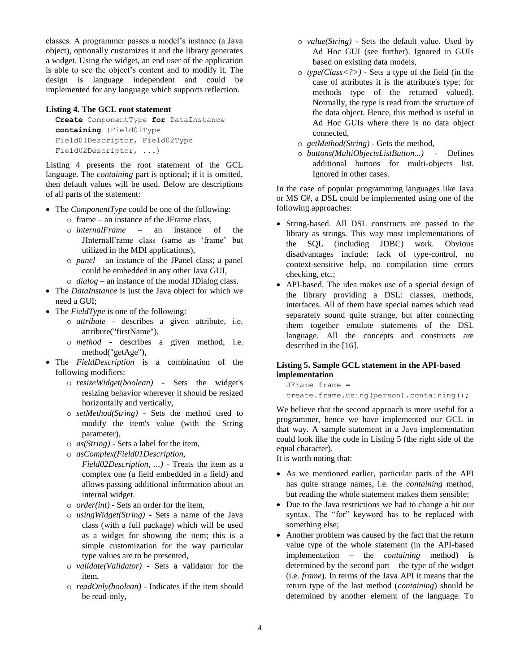classes. A programmer passes a model"s instance (a Java object), optionally customizes it and the library generates a widget. Using the widget, an end user of the application is able to see the object's content and to modify it. The design is language independent and could be implemented for any language which supports reflection.

#### **Listing 4. The GCL root statement**

```
Create ComponentType for DataInstance
containing (Field01Type
Field01Descriptor, Field02Type
Field02Descriptor, ...)
```
Listing 4 presents the root statement of the GCL language. The *containing* part is optional; if it is omitted, then default values will be used. Below are descriptions of all parts of the statement:

- The *ComponentType* could be one of the following:
	- o frame an instance of the JFrame class,
	- o *internalFrame* an instance of the JInternalFrame class (same as "frame" but utilized in the MDI applications),
	- o *panel* an instance of the JPanel class; a panel could be embedded in any other Java GUI,
	- o *dialog* an instance of the modal JDialog class.
- The *DataInstance* is just the Java object for which we need a GUI;
- The *FieldType* is one of the following:
	- o *attribute* describes a given attribute, i.e. attribute("firstName"),
	- o *method* describes a given method, i.e. method("getAge"),
- The *FieldDescription* is a combination of the following modifiers:
	- o *resizeWidget(boolean)* Sets the widget's resizing behavior wherever it should be resized horizontally and vertically,
	- o *setMethod(String)* Sets the method used to modify the item's value (with the String parameter),
	- o *as(String)* Sets a label for the item,
	- o *asComplex(Field01Description,* 
		- *Field02Description, ...)* Treats the item as a complex one (a field embedded in a field) and allows passing additional information about an internal widget.
	- o *order(int)* Sets an order for the item,
	- o *usingWidget(String)* Sets a name of the Java class (with a full package) which will be used as a widget for showing the item; this is a simple customization for the way particular type values are to be presented,
	- o *validate(Validator)* Sets a validator for the item,
	- o *readOnly(boolean)* Indicates if the item should be read-only,
- o *value(String)* Sets the default value. Used by Ad Hoc GUI (see further). Ignored in GUIs based on existing data models,
- o *type(Class<?>)* Sets a type of the field (in the case of attributes it is the attribute's type; for methods type of the returned valued). Normally, the type is read from the structure of the data object. Hence, this method is useful in Ad Hoc GUIs where there is no data object connected,
- o *getMethod(String)* Gets the method,
- o *buttons(MultiObjectsListButton...)* Defines additional buttons for multi-objects list. Ignored in other cases.

In the case of popular programming languages like Java or MS C#, a DSL could be implemented using one of the following approaches:

- String-based. All DSL constructs are passed to the library as strings. This way most implementations of the SQL (including JDBC) work. Obvious disadvantages include: lack of type-control, no context-sensitive help, no compilation time errors checking, etc.;
- API-based. The idea makes use of a special design of the library providing a DSL: classes, methods, interfaces. All of them have special names which read separately sound quite strange, but after connecting them together emulate statements of the DSL language. All the concepts and constructs are described in th[e \[16\].](#page-7-15)

#### **Listing 5. Sample GCL statement in the API-based implementation**

JFrame frame = create.frame.using(person).containing();

We believe that the second approach is more useful for a programmer, hence we have implemented our GCL in that way. A sample statement in a Java implementation could look like the code in Listing 5 (the right side of the equal character).

It is worth noting that:

- As we mentioned earlier, particular parts of the API has quite strange names, i.e. the *containing* method, but reading the whole statement makes them sensible;
- Due to the Java restrictions we had to change a bit our syntax. The "for" keyword has to be replaced with something else;
- Another problem was caused by the fact that the return value type of the whole statement (in the API-based implementation – the *containing* method) is determined by the second part – the type of the widget (i.e. *frame*). In terms of the Java API it means that the return type of the last method (*containing*) should be determined by another element of the language. To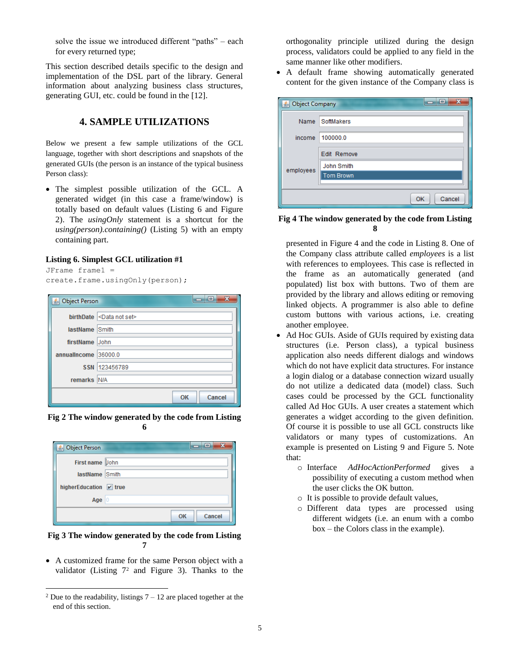solve the issue we introduced different "paths" – each for every returned type;

This section described details specific to the design and implementation of the DSL part of the library. General information about analyzing business class structures, generating GUI, etc. could be found in the [12].

## **4. SAMPLE UTILIZATIONS**

Below we present a few sample utilizations of the GCL language, together with short descriptions and snapshots of the generated GUIs (the person is an instance of the typical business Person class):

 The simplest possible utilization of the GCL. A generated widget (in this case a frame/window) is totally based on default values (Listing 6 and Figure 2). The *usingOnly* statement is a shortcut for the *using(person).containing()* (Listing 5) with an empty containing part.

#### **Listing 6. Simplest GCL utilization #1**

```
JFrame frame1 = 
create.frame.usingOnly(person);
```

| -x<br>HE.<br><u> <b>4</b></u> Object Person |                                   |
|---------------------------------------------|-----------------------------------|
|                                             | birthDate<br>$\leq$ Data not set> |
| lastName Smith                              |                                   |
| firstName John                              |                                   |
| annualIncome 36000.0                        |                                   |
|                                             | SSN 123456789                     |
| remarks N/A                                 |                                   |
|                                             | Cancel<br>OK                      |

**Fig 2 The window generated by the code from Listing 6**

| <b><i>Δ</i></b> Object Person | $\equiv$     |
|-------------------------------|--------------|
| First name John               |              |
| lastName Smith                |              |
| higherEducation V true        |              |
| Age $ 0$                      |              |
|                               | Cancel<br>OK |

**Fig 3 The window generated by the code from Listing 7**

 A customized frame for the same Person object with a validator (Listing  $7<sup>2</sup>$  and Figure 3). Thanks to the

l

orthogonality principle utilized during the design process, validators could be applied to any field in the same manner like other modifiers.

 A default frame showing automatically generated content for the given instance of the Company class is

| x<br>므<br><b>B</b> Object Company |                    |  |
|-----------------------------------|--------------------|--|
| <b>Name</b>                       | SoftMakers         |  |
| income                            | 100000.0           |  |
| employees                         | <b>Edit Remove</b> |  |
|                                   | John Smith         |  |
|                                   | <b>Tom Brown</b>   |  |
|                                   |                    |  |
|                                   | Cancel<br>OK       |  |

#### **Fig 4 The window generated by the code from Listing 8**

presented in Figure 4 and the code in Listing 8. One of the Company class attribute called *employees* is a list with references to employees. This case is reflected in the frame as an automatically generated (and populated) list box with buttons. Two of them are provided by the library and allows editing or removing linked objects. A programmer is also able to define custom buttons with various actions, i.e. creating another employee.

- Ad Hoc GUIs. Aside of GUIs required by existing data structures (i.e. Person class), a typical business application also needs different dialogs and windows which do not have explicit data structures. For instance a login dialog or a database connection wizard usually do not utilize a dedicated data (model) class. Such cases could be processed by the GCL functionality called Ad Hoc GUIs. A user creates a statement which generates a widget according to the given definition. Of course it is possible to use all GCL constructs like validators or many types of customizations. An example is presented on Listing 9 and Figure 5. Note that:
	- o Interface *AdHocActionPerformed* gives a possibility of executing a custom method when the user clicks the OK button.
	- o It is possible to provide default values,
	- o Different data types are processed using different widgets (i.e. an enum with a combo box – the Colors class in the example).

 $2$  Due to the readability, listings  $7 - 12$  are placed together at the end of this section.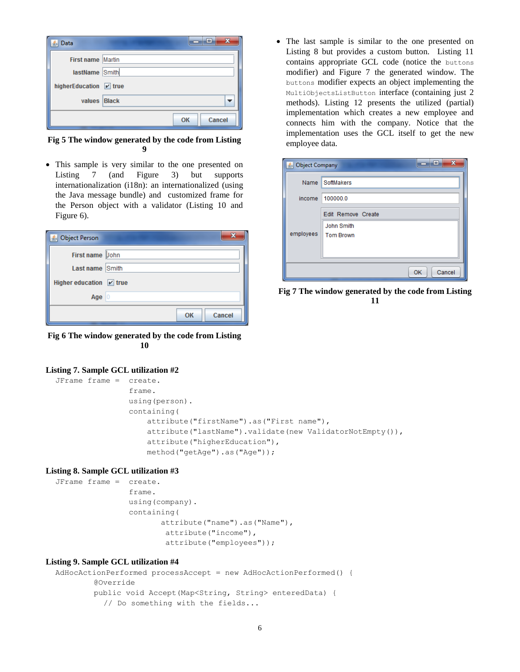| Data<br>⊲ی             | x<br>Е       |
|------------------------|--------------|
| First name Martin      |              |
| lastName Smith         |              |
| higherEducation v true |              |
| values Black           |              |
|                        | Cancel<br>ОK |

**Fig 5 The window generated by the code from Listing 9**

 This sample is very similar to the one presented on Listing 7 (and Figure 3) but supports internationalization (i18n): an internationalized (using the Java message bundle) and customized frame for the Person object with a validator (Listing 10 and Figure 6).

| <b>Object Person</b>        |              |  |
|-----------------------------|--------------|--|
| First name John             |              |  |
| Last name Smith             |              |  |
| Higher education $\nu$ true |              |  |
| Age $ 0$                    |              |  |
|                             | Cancel<br>OK |  |

**Fig 6 The window generated by the code from Listing 10**

#### **Listing 7. Sample GCL utilization #2**

```
JFrame frame = create.
                 frame.
                 using(person).
                 containing(
                     attribute("firstName").as("First name"), 
                     attribute("lastName").validate(new ValidatorNotEmpty()),
                    attribute("higherEducation"),
                    method("getAge").as("Age"));
```
#### **Listing 8. Sample GCL utilization #3**

```
JFrame frame = create.
                  frame.
                  using(company).
                  containing(
                         attribute("name").as("Name"), 
                          attribute("income"),
                         attribute("employees"));
```
#### **Listing 9. Sample GCL utilization #4**

```
AdHocActionPerformed processAccept = new AdHocActionPerformed() {
        @Override
        public void Accept(Map<String, String> enteredData) {
          // Do something with the fields...
```
 The last sample is similar to the one presented on Listing 8 but provides a custom button. Listing 11 contains appropriate GCL code (notice the buttons modifier) and Figure 7 the generated window. The buttons modifier expects an object implementing the MultiObjectsListButton interface (containing just 2 methods). Listing 12 presents the utilized (partial) implementation which creates a new employee and connects him with the company. Notice that the implementation uses the GCL itself to get the new employee data.

| $\overline{\mathbf{x}}$<br>والمادد<br>Sold Company |                                                             |
|----------------------------------------------------|-------------------------------------------------------------|
|                                                    | Name SoftMakers                                             |
|                                                    | income 100000.0                                             |
| employees                                          | Edit Remove Create<br><b>John Smith</b><br><b>Tom Brown</b> |
|                                                    | Cancel<br><b>OK</b>                                         |

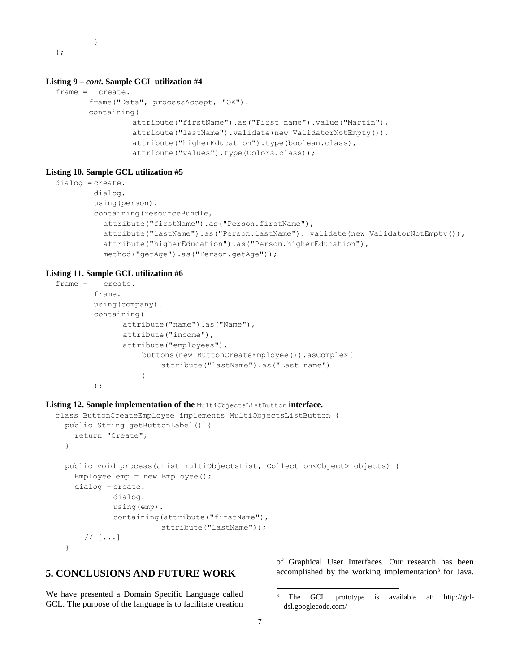} };

#### **Listing 9 –** *cont***. Sample GCL utilization #4**

```
frame = create.
       frame("Data", processAccept, "OK").
       containing(
                 attribute("firstName").as("First name").value("Martin"), 
                 attribute("lastName").validate(new ValidatorNotEmpty()),
                 attribute("higherEducation").type(boolean.class),
                 attribute("values").type(Colors.class));
```
#### **Listing 10. Sample GCL utilization #5**

```
dialog = create.
        dialog.
        using(person).
        containing(resourceBundle, 
          attribute("firstName").as("Person.firstName"),
          attribute("lastName").as("Person.lastName"). validate(new ValidatorNotEmpty()),
          attribute("higherEducation").as("Person.higherEducation"),
          method("getAge").as("Person.getAge"));
```
#### **Listing 11. Sample GCL utilization #6**

```
frame = create.
        frame.
        using(company).
        containing(
               attribute("name").as("Name"), 
              attribute("income"),
               attribute("employees").
                   buttons(new ButtonCreateEmployee()).asComplex(
                       attribute("lastName").as("Last name")
                   )
        );
```
#### **Listing 12. Sample implementation of the** MultiObjectsListButton **interface.**

```
class ButtonCreateEmployee implements MultiObjectsListButton {
  public String getButtonLabel() {
    return "Create";
  }
 public void process(JList multiObjectsList, Collection<Object> objects) {
    Employee emp = new Employee();
    dialog = create.
            dialog.
            using(emp).
            containing(attribute("firstName"),
                       attribute("lastName"));
      // [...]
  }
```
## **5. CONCLUSIONS AND FUTURE WORK**

We have presented a Domain Specific Language called GCL. The purpose of the language is to facilitate creation

of Graphical User Interfaces. Our research has been accomplished by the working implementation<sup>3</sup> for Java.

 $\overline{\phantom{a}}$ 

<sup>3</sup> The GCL prototype is available at: http://gcldsl.googlecode.com/